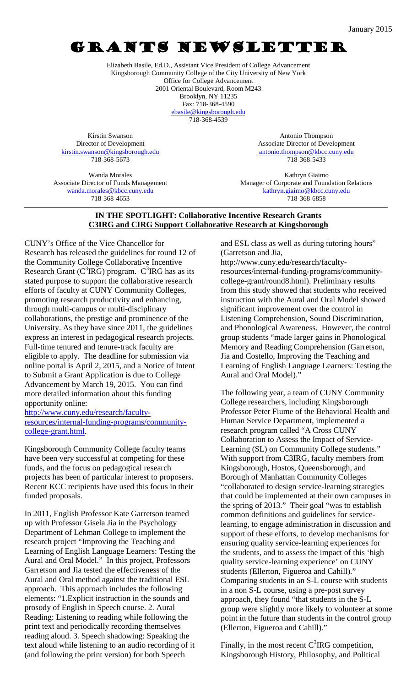# GRANTS NEWSLETTER

Elizabeth Basile, Ed.D., Assistant Vice President of College Advancement Kingsborough Community College of the City University of New York Office for College Advancement 2001 Oriental Boulevard, Room M243 Brooklyn, NY 11235 Fax: 718-368-4590 [ebasile@kingsborough.edu](mailto:ebasile@kingsborough.edu)

718-368-4539

Kirstin Swanson Director of Development [kirstin.swanson@kingsborough.edu](mailto:kirstin.swanson@kingsborough.edu) 718-368-5673

Antonio Thompson Associate Director of Development [antonio.thompson@kbcc.cuny.edu](mailto:antonio.thompson@kbcc.cuny.edu) 718-368-5433

Wanda Morales Associate Director of Funds Management [wanda.morales@kbcc.cuny.edu](mailto:wanda.morales@kbcc.cuny.edu) 718-368-4653

Kathryn Giaimo Manager of Corporate and Foundation Relations [kathryn.giaimo@kbcc.cuny.edu](mailto:kathryn.giaimo@kbcc.cuny.edu) 718-368-6858

#### **IN THE SPOTLIGHT: Collaborative Incentive Research Grants C3IRG and CIRG Support Collaborative Research at Kingsborough**

CUNY's Office of the Vice Chancellor for Research has released the guidelines for round 12 of the Community College Collaborative Incentive Research Grant ( $C<sup>3</sup>IRG$ ) program.  $C<sup>3</sup>IRG$  has as its stated purpose to support the collaborative research efforts of faculty at CUNY Community Colleges, promoting research productivity and enhancing, through multi-campus or multi-disciplinary collaborations, the prestige and prominence of the University. As they have since 2011, the guidelines express an interest in pedagogical research projects. Full-time tenured and tenure-track faculty are eligible to apply. The deadline for submission via online portal is April 2, 2015, and a Notice of Intent to Submit a Grant Application is due to College Advancement by March 19, 2015. You can find more detailed information about this funding opportunity online:

[http://www.cuny.edu/research/faculty](http://www.cuny.edu/research/faculty-resources/internal-funding-programs/community-college-grant.html)[resources/internal-funding-programs/community](http://www.cuny.edu/research/faculty-resources/internal-funding-programs/community-college-grant.html)[college-grant.html.](http://www.cuny.edu/research/faculty-resources/internal-funding-programs/community-college-grant.html)

Kingsborough Community College faculty teams have been very successful at competing for these funds, and the focus on pedagogical research projects has been of particular interest to proposers. Recent KCC recipients have used this focus in their funded proposals.

In 2011, English Professor Kate Garretson teamed up with Professor Gisela Jia in the Psychology Department of Lehman College to implement the research project "Improving the Teaching and Learning of English Language Learners: Testing the Aural and Oral Model." In this project, Professors Garretson and Jia tested the effectiveness of the Aural and Oral method against the traditional ESL approach. This approach includes the following elements: "1.Explicit instruction in the sounds and prosody of English in Speech course. 2. Aural Reading: Listening to reading while following the print text and periodically recording themselves reading aloud. 3. Speech shadowing: Speaking the text aloud while listening to an audio recording of it (and following the print version) for both Speech

and ESL class as well as during tutoring hours" (Garretson and Jia,

http://www.cuny.edu/research/facultyresources/internal-funding-programs/communitycollege-grant/round8.html). Preliminary results from this study showed that students who received instruction with the Aural and Oral Model showed significant improvement over the control in Listening Comprehension, Sound Discrimination, and Phonological Awareness. However, the control group students "made larger gains in Phonological Memory and Reading Comprehension (Garretson, Jia and Costello, Improving the Teaching and Learning of English Language Learners: Testing the Aural and Oral Model)."

The following year, a team of CUNY Community College researchers, including Kingsborough Professor Peter Fiume of the Behavioral Health and Human Service Department, implemented a research program called "A Cross CUNY Collaboration to Assess the Impact of Service-Learning (SL) on Community College students." With support from C3IRG, faculty members from Kingsborough, Hostos, Queensborough, and Borough of Manhattan Community Colleges "collaborated to design service-learning strategies that could be implemented at their own campuses in the spring of 2013." Their goal "was to establish common definitions and guidelines for servicelearning, to engage administration in discussion and support of these efforts, to develop mechanisms for ensuring quality service-learning experiences for the students, and to assess the impact of this 'high quality service-learning experience' on CUNY students (Ellerton, Figueroa and Cahill)." Comparing students in an S-L course with students in a non S-L course, using a pre-post survey approach, they found "that students in the S-L group were slightly more likely to volunteer at some point in the future than students in the control group (Ellerton, Figueroa and Cahill)."

Finally, in the most recent  $C<sup>3</sup>IRG$  competition, Kingsborough History, Philosophy, and Political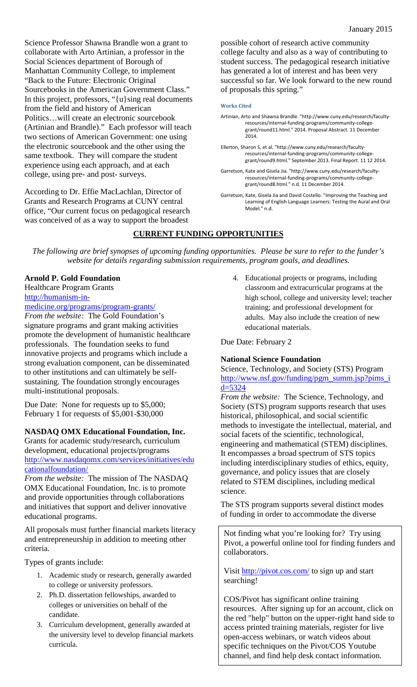Science Professor Shawna Brandle won a grant to collaborate with Arto Artinian, a professor in the Social Sciences department of Borough of Manhattan Community College, to implement "Back to the Future: Electronic Original Sourcebooks in the American Government Class." In this project, professors, "{u}sing real documents from the field and history of American Politics…will create an electronic sourcebook (Artinian and Brandle)." Each professor will teach two sections of American Government: one using the electronic sourcebook and the other using the same textbook. They will compare the student experience using each approach, and at each college, using pre- and post- surveys.

According to Dr. Effie MacLachlan, Director of Grants and Research Programs at CUNY central office, "Our current focus on pedagogical research was conceived of as a way to support the broadest

possible cohort of research active community college faculty and also as a way of contributing to student success. The pedagogical research initiative has generated a lot of interest and has been very successful so far. We look forward to the new round of proposals this spring."

#### **Works Cited**

- Artinian, Arto and Shawna Brandle. "http://www.cuny.edu/research/facultyresources/internal-funding-programs/community-collegegrant/round11.html." 2014. Proposal Abstract. 11 December 2014.
- Ellerton, Sharon S, et al. "http://www.cuny.edu/research/facultyresources/internal-funding-programs/community-collegegrant/round9.html." September 2013. Final Report. 11 12 2014.
- Garretson, Kate and Gisela Jia. "http://www.cuny.edu/research/facultyresources/internal-funding-programs/community-collegegrant/round8.html." n.d. 11 December 2014.
- Garretson, Kate, Gisela Jia and David Costello. "Improving the Teaching and Learning of English Language Learners: Testing the Aural and Oral Model." n.d.

### **CURRENT FUNDING OPPORTUNITIES**

*The following are brief synopses of upcoming funding opportunities. Please be sure to refer to the funder's website for details regarding submission requirements, program goals, and deadlines.*

#### **Arnold P. Gold Foundation**

Healthcare Program Grants http://humanism-in-

medicine.org/programs/program-grants/

*From the website:* The Gold Foundation's signature programs and grant making activities promote the development of humanistic healthcare professionals. The foundation seeks to fund innovative projects and programs which include a strong evaluation component, can be disseminated to other institutions and can ultimately be selfsustaining. The foundation strongly encourages multi-institutional proposals.

Due Date: None for requests up to \$5,000; February 1 for requests of \$5,001-\$30,000

#### **NASDAQ OMX Educational Foundation, Inc.**

Grants for academic study/research, curriculum development, educational projects/programs http://www.nasdaqomx.com/services/initiatives/edu cationalfoundation/

*From the website:* The mission of The NASDAQ OMX Educational Foundation, Inc. is to promote and provide opportunities through collaborations and initiatives that support and deliver innovative educational programs.

All proposals must further financial markets literacy and entrepreneurship in addition to meeting other criteria.

Types of grants include:

- 1. Academic study or research, generally awarded to college or university professors.
- 2. Ph.D. dissertation fellowships, awarded to colleges or universities on behalf of the candidate.
- 3. Curriculum development, generally awarded at the university level to develop financial markets curricula.

4. Educational projects or programs, including classroom and extracurricular programs at the high school, college and university level; teacher training; and professional development for adults. May also include the creation of new educational materials.

Due Date: February 2

#### **National Science Foundation**

Science, Technology, and Society (STS) Program http://www.nsf.gov/funding/pgm\_summ.jsp?pims\_i  $d = 5324$ 

*From the website:* The Science, Technology, and Society (STS) program supports research that uses historical, philosophical, and social scientific methods to investigate the intellectual, material, and social facets of the scientific, technological, engineering and mathematical (STEM) disciplines. It encompasses a broad spectrum of STS topics including interdisciplinary studies of ethics, equity, governance, and policy issues that are closely related to STEM disciplines, including medical science.

The STS program supports several distinct modes of funding in order to accommodate the diverse

Not finding what you're looking for? Try using Pivot, a powerful online tool for finding funders and collaborators.

Visit<http://pivot.cos.com/> to sign up and start searching!

COS/Pivot has significant online training resources. After signing up for an account, click on the red "help" button on the upper-right hand side to access printed training materials, register for live open-access webinars, or watch videos about specific techniques on the Pivot/COS Youtube channel, and find help desk contact information.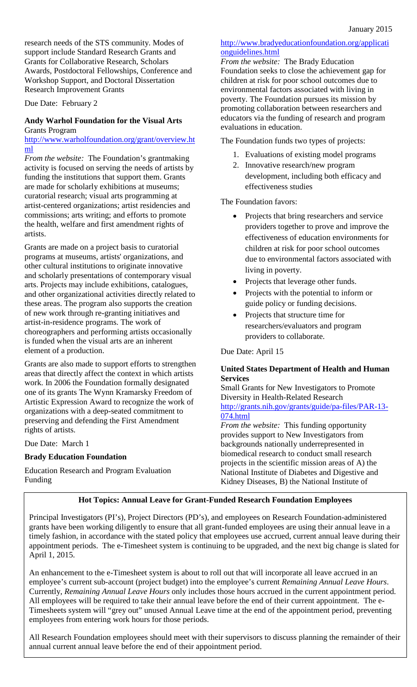research needs of the STS community. Modes of support include Standard Research Grants and Grants for Collaborative Research, Scholars Awards, Postdoctoral Fellowships, Conference and Workshop Support, and Doctoral Dissertation Research Improvement Grants

Due Date: February 2

#### **Andy Warhol Foundation for the Visual Arts** Grants Program

http://www.warholfoundation.org/grant/overview.ht ml

*From the website:* The Foundation's grantmaking activity is focused on serving the needs of artists by funding the institutions that support them. Grants are made for scholarly exhibitions at museums; curatorial research; visual arts programming at artist-centered organizations; artist residencies and commissions; arts writing; and efforts to promote the health, welfare and first amendment rights of artists.

Grants are made on a project basis to curatorial programs at museums, artists' organizations, and other cultural institutions to originate innovative and scholarly presentations of contemporary visual arts. Projects may include exhibitions, catalogues, and other organizational activities directly related to these areas. The program also supports the creation of new work through re-granting initiatives and artist-in-residence programs. The work of choreographers and performing artists occasionally is funded when the visual arts are an inherent element of a production.

Grants are also made to support efforts to strengthen areas that directly affect the context in which artists work. In 2006 the Foundation formally designated one of its grants The Wynn Kramarsky Freedom of Artistic Expression Award to recognize the work of organizations with a deep-seated commitment to preserving and defending the First Amendment rights of artists.

Due Date: March 1

### **Brady Education Foundation**

Education Research and Program Evaluation Funding

### http://www.bradyeducationfoundation.org/applicati onguidelines.html

*From the website:* The Brady Education Foundation seeks to close the achievement gap for children at risk for poor school outcomes due to environmental factors associated with living in poverty. The Foundation pursues its mission by promoting collaboration between researchers and educators via the funding of research and program evaluations in education.

The Foundation funds two types of projects:

- 1. Evaluations of existing model programs
- 2. Innovative research/new program development, including both efficacy and effectiveness studies

The Foundation favors:

- Projects that bring researchers and service providers together to prove and improve the effectiveness of education environments for children at risk for poor school outcomes due to environmental factors associated with living in poverty.
- Projects that leverage other funds.
- Projects with the potential to inform or guide policy or funding decisions.
- Projects that structure time for researchers/evaluators and program providers to collaborate.

Due Date: April 15

### **United States Department of Health and Human Services**

Small Grants for New Investigators to Promote Diversity in Health-Related Research http://grants.nih.gov/grants/guide/pa-files/PAR-13- 074.html

*From the website:* This funding opportunity provides support to New Investigators from backgrounds nationally underrepresented in biomedical research to conduct small research projects in the scientific mission areas of A) the National Institute of Diabetes and Digestive and Kidney Diseases, B) the National Institute of

### **Hot Topics: Annual Leave for Grant-Funded Research Foundation Employees**

Principal Investigators (PI's), Project Directors (PD's), and employees on Research Foundation-administered grants have been working diligently to ensure that all grant-funded employees are using their annual leave in a timely fashion, in accordance with the stated policy that employees use accrued, current annual leave during their appointment periods. The e-Timesheet system is continuing to be upgraded, and the next big change is slated for April 1, 2015.

An enhancement to the e-Timesheet system is about to roll out that will incorporate all leave accrued in an employee's current sub-account (project budget) into the employee's current *Remaining Annual Leave Hours*. Currently, *Remaining Annual Leave Hours* only includes those hours accrued in the current appointment period. All employees will be required to take their annual leave before the end of their current appointment. The e-Timesheets system will "grey out" unused Annual Leave time at the end of the appointment period, preventing employees from entering work hours for those periods.

All Research Foundation employees should meet with their supervisors to discuss planning the remainder of their annual current annual leave before the end of their appointment period.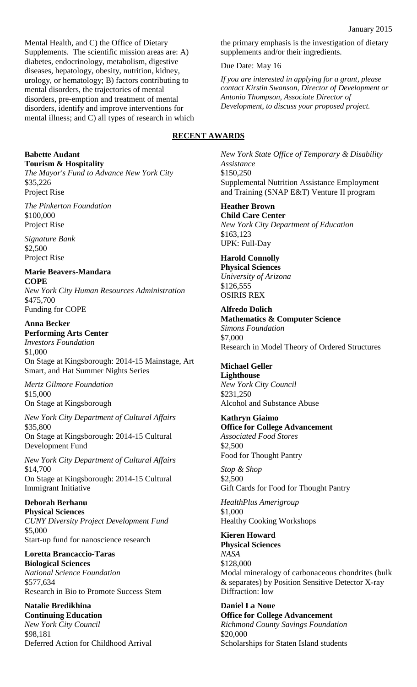Mental Health, and C) the Office of Dietary Supplements. The scientific mission areas are: A) diabetes, endocrinology, metabolism, digestive diseases, hepatology, obesity, nutrition, kidney, urology, or hematology; B) factors contributing to mental disorders, the trajectories of mental disorders, pre-emption and treatment of mental disorders, identify and improve interventions for mental illness; and C) all types of research in which

**Babette Audant Tourism & Hospitality** *The Mayor's Fund to Advance New York City* \$35,226

Project Rise *The Pinkerton Foundation* \$100,000 Project Rise

*Signature Bank* \$2,500 Project Rise

**Marie Beavers-Mandara COPE** *New York City Human Resources Administration* \$475,700 Funding for COPE

**Anna Becker Performing Arts Center** *Investors Foundation* \$1,000 On Stage at Kingsborough: 2014-15 Mainstage, Art Smart, and Hat Summer Nights Series

*Mertz Gilmore Foundation* \$15,000 On Stage at Kingsborough

*New York City Department of Cultural Affairs* \$35,800 On Stage at Kingsborough: 2014-15 Cultural Development Fund

*New York City Department of Cultural Affairs* \$14,700 On Stage at Kingsborough: 2014-15 Cultural Immigrant Initiative

## **Deborah Berhanu**

**Physical Sciences** *CUNY Diversity Project Development Fund* \$5,000 Start-up fund for nanoscience research

**Loretta Brancaccio-Taras Biological Sciences** *National Science Foundation* \$577,634 Research in Bio to Promote Success Stem

**Natalie Bredikhina Continuing Education** *New York City Council* \$98,181 Deferred Action for Childhood Arrival the primary emphasis is the investigation of dietary supplements and/or their ingredients.

Due Date: May 16

*If you are interested in applying for a grant, please contact Kirstin Swanson, Director of Development or Antonio Thompson, Associate Director of Development, to discuss your proposed project.*

### **RECENT AWARDS**

*New York State Office of Temporary & Disability Assistance* \$150,250 Supplemental Nutrition Assistance Employment and Training (SNAP E&T) Venture II program

**Heather Brown Child Care Center** *New York City Department of Education* \$163,123 UPK: Full-Day

**Harold Connolly Physical Sciences** *University of Arizona* \$126,555 OSIRIS REX

**Alfredo Dolich Mathematics & Computer Science** *Simons Foundation* \$7,000 Research in Model Theory of Ordered Structures

### **Michael Geller**

**Lighthouse** *New York City Council* \$231,250 Alcohol and Substance Abuse

**Kathryn Giaimo**

**Office for College Advancement** *Associated Food Stores* \$2,500 Food for Thought Pantry

*Stop & Shop* \$2,500 Gift Cards for Food for Thought Pantry

*HealthPlus Amerigroup* \$1,000 Healthy Cooking Workshops

**Kieren Howard Physical Sciences** *NASA* \$128,000 Modal mineralogy of carbonaceous chondrites (bulk & separates) by Position Sensitive Detector X-ray Diffraction: low

**Daniel La Noue Office for College Advancement** *Richmond County Savings Foundation* \$20,000 Scholarships for Staten Island students